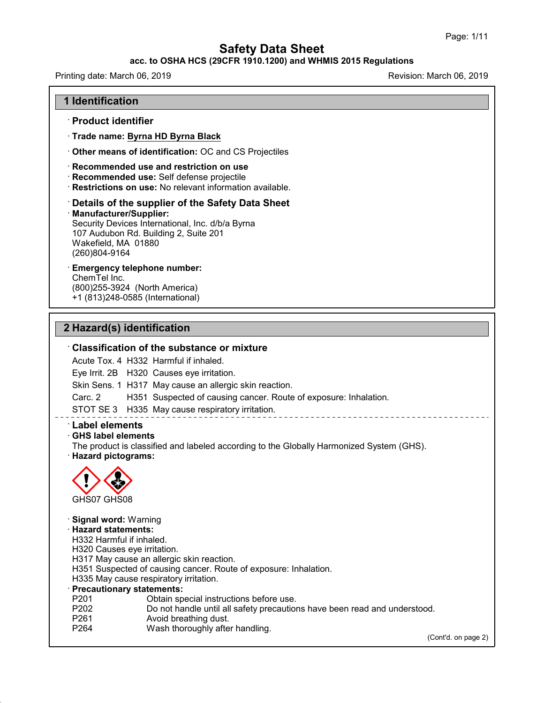## **acc. to OSHA HCS (29CFR 1910.1200) and WHMIS 2015 Regulations**

Printing date: March 06, 2019 **Printing date: March 06, 2019** Revision: March 06, 2019

#### **1 Identification**

## · **Product identifier**

· **Trade name: Byrna HD Byrna Black**

· **Other means of identification:** OC and CS Projectiles

#### · **Recommended use and restriction on use**

- · **Recommended use:** Self defense projectile
- · **Restrictions on use:** No relevant information available.

# · **Details of the supplier of the Safety Data Sheet**

· **Manufacturer/Supplier:**

Security Devices International, Inc. d/b/a Byrna 107 Audubon Rd. Building 2, Suite 201 Wakefield, MA 01880 (260)804-9164

# · **Emergency telephone number:**

ChemTel Inc. (800)255-3924 (North America) +1 (813)248-0585 (International)

## **2 Hazard(s) identification**

## · **Classification of the substance or mixture**

Acute Tox. 4 H332 Harmful if inhaled.

Eye Irrit. 2B H320 Causes eye irritation.

Skin Sens. 1 H317 May cause an allergic skin reaction.

Carc. 2 H351 Suspected of causing cancer. Route of exposure: Inhalation.

STOT SE 3 H335 May cause respiratory irritation.

## · **Label elements**

#### · **GHS label elements**

The product is classified and labeled according to the Globally Harmonized System (GHS). · **Hazard pictograms:**



48.0

· **Signal word:** Warning · **Hazard statements:**

H332 Harmful if inhaled.

- H320 Causes eye irritation.
- H317 May cause an allergic skin reaction.
- H351 Suspected of causing cancer. Route of exposure: Inhalation.
- H335 May cause respiratory irritation.

#### · **Precautionary statements:**

- P201 **Detain special instructions before use.**<br>P202 Do not handle until all safety precaution
- P202 Do not handle until all safety precautions have been read and understood.<br>P261 Ryoid breathing dust.
- Avoid breathing dust.
- P264 Wash thoroughly after handling.

(Cont'd. on page 2)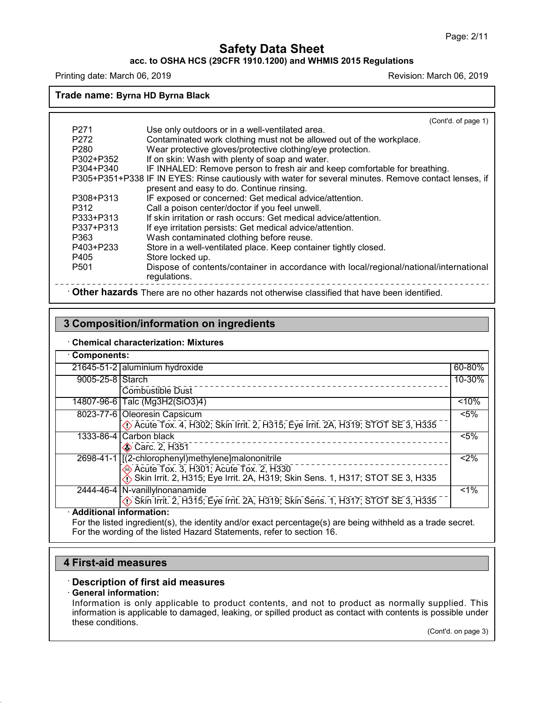## **acc. to OSHA HCS (29CFR 1910.1200) and WHMIS 2015 Regulations**

Printing date: March 06, 2019 **Printing date: March 06, 2019** Revision: March 06, 2019

**Trade name: Byrna HD Byrna Black**

|                  | (Cont'd. of page 1)                                                                                    |
|------------------|--------------------------------------------------------------------------------------------------------|
| P <sub>271</sub> | Use only outdoors or in a well-ventilated area.                                                        |
| P272             | Contaminated work clothing must not be allowed out of the workplace.                                   |
| P <sub>280</sub> | Wear protective gloves/protective clothing/eye protection.                                             |
| P302+P352        | If on skin: Wash with plenty of soap and water.                                                        |
| P304+P340        | IF INHALED: Remove person to fresh air and keep comfortable for breathing.                             |
|                  | P305+P351+P338 IF IN EYES: Rinse cautiously with water for several minutes. Remove contact lenses, if  |
|                  | present and easy to do. Continue rinsing.                                                              |
| P308+P313        | IF exposed or concerned: Get medical advice/attention.                                                 |
| P312             | Call a poison center/doctor if you feel unwell.                                                        |
| P333+P313        | If skin irritation or rash occurs: Get medical advice/attention.                                       |
| P337+P313        | If eye irritation persists: Get medical advice/attention.                                              |
| P363             | Wash contaminated clothing before reuse.                                                               |
| P403+P233        | Store in a well-ventilated place. Keep container tightly closed.                                       |
| P405             | Store locked up.                                                                                       |
| P <sub>501</sub> | Dispose of contents/container in accordance with local/regional/national/international<br>regulations. |
|                  | Other hazards There are no other hazards not otherwise classified that have been identified.           |

## **3 Composition/information on ingredients**

#### · **Chemical characterization: Mixtures**

| Components:               |                                                                                                                                                                                                                               |         |
|---------------------------|-------------------------------------------------------------------------------------------------------------------------------------------------------------------------------------------------------------------------------|---------|
|                           | 21645-51-2 aluminium hydroxide                                                                                                                                                                                                | 60-80%  |
| 9005-25-8 Starch          | Combustible Dust                                                                                                                                                                                                              | 10-30%  |
| 14807-96-61               | Talc (Mg3H2(SiO3)4)                                                                                                                                                                                                           | < 10%   |
|                           | 8023-77-6 Oleoresin Capsicum<br>(1) Acute Tox. 4, H302; Skin Irrit. 2, H315; Eye Irrit. 2A, H319; STOT SE 3, H335                                                                                                             | $< 5\%$ |
|                           | 1333-86-4 Carbon black<br>Carc. 2, H351                                                                                                                                                                                       | $< 5\%$ |
|                           | 2698-41-1 [(2-chlorophenyl)methylene]malononitrile<br>→ Acute Tox. 3, H301; Acute Tox. 2, H330<br>→ Acute Tox. 3, H301; Acute Tox. 2, H330<br>→ Skin Irrit. 2, H315; Eye Irrit. 2A, H319; Skin Sens. 1, H317; STOT SE 3, H335 | $<$ 2%  |
|                           | 2444-46-4 N-vanilly Inonanamide<br>Skin Irrit. 2, H315; Eye Irrit. 2A, H319; Skin Sens. 1, H317; STOT SE 3, H335                                                                                                              | $< 1\%$ |
| · Additional information: |                                                                                                                                                                                                                               |         |

For the listed ingredient(s), the identity and/or exact percentage(s) are being withheld as a trade secret. For the wording of the listed Hazard Statements, refer to section 16.

## **4 First-aid measures**

## · **Description of first aid measures**

# · **General information:**

48.0

Information is only applicable to product contents, and not to product as normally supplied. This information is applicable to damaged, leaking, or spilled product as contact with contents is possible under these conditions.

(Cont'd. on page 3)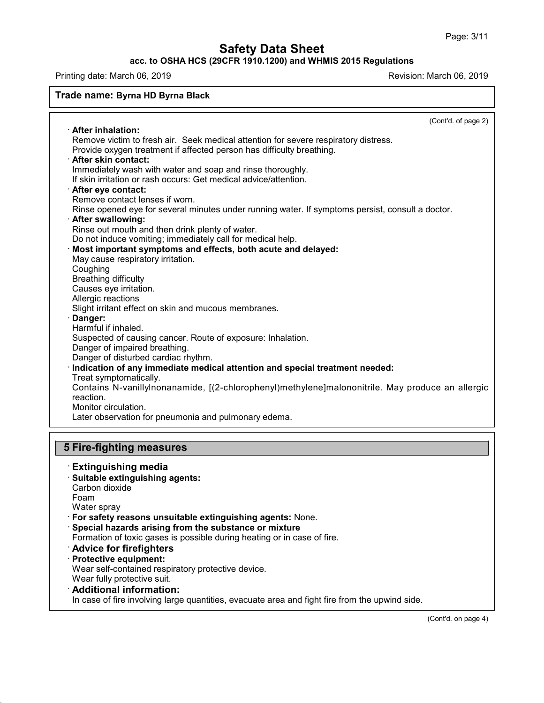## **acc. to OSHA HCS (29CFR 1910.1200) and WHMIS 2015 Regulations**

Printing date: March 06, 2019 **Printing date: March 06, 2019** 

| Trade name: Byrna HD Byrna Black                                                                                               |
|--------------------------------------------------------------------------------------------------------------------------------|
| (Cont'd. of page 2)                                                                                                            |
| · After inhalation:                                                                                                            |
| Remove victim to fresh air. Seek medical attention for severe respiratory distress.                                            |
| Provide oxygen treatment if affected person has difficulty breathing.                                                          |
| · After skin contact:                                                                                                          |
| Immediately wash with water and soap and rinse thoroughly.<br>If skin irritation or rash occurs: Get medical advice/attention. |
| After eye contact:                                                                                                             |
| Remove contact lenses if worn.                                                                                                 |
| Rinse opened eye for several minutes under running water. If symptoms persist, consult a doctor.                               |
| · After swallowing:                                                                                                            |
| Rinse out mouth and then drink plenty of water.                                                                                |
| Do not induce vomiting; immediately call for medical help.                                                                     |
| Most important symptoms and effects, both acute and delayed:                                                                   |
| May cause respiratory irritation.                                                                                              |
| Coughing                                                                                                                       |
| <b>Breathing difficulty</b>                                                                                                    |
| Causes eye irritation.                                                                                                         |
| Allergic reactions                                                                                                             |
| Slight irritant effect on skin and mucous membranes.                                                                           |
| Danger:                                                                                                                        |
| Harmful if inhaled.                                                                                                            |
| Suspected of causing cancer. Route of exposure: Inhalation.                                                                    |
| Danger of impaired breathing.                                                                                                  |
| Danger of disturbed cardiac rhythm.                                                                                            |
| · Indication of any immediate medical attention and special treatment needed:                                                  |
| Treat symptomatically.                                                                                                         |
| Contains N-vanillylnonanamide, [(2-chlorophenyl)methylene]malononitrile. May produce an allergic                               |
| reaction.<br>Monitor circulation.                                                                                              |
| Later observation for pneumonia and pulmonary edema.                                                                           |
|                                                                                                                                |
|                                                                                                                                |
| <b>5 Fire-fighting measures</b>                                                                                                |
| <b>Extinguishing media</b>                                                                                                     |
| · Suitable extinguishing agents:                                                                                               |
| Carbon dioxide                                                                                                                 |
| Foam                                                                                                                           |
| Water spray                                                                                                                    |
| · For safety reasons unsuitable extinguishing agents: None.                                                                    |
| المستحدث والمستنبذ والمستحدث والمستحدث والمستحدث                                                                               |

· **Special hazards arising from the substance or mixture**

Formation of toxic gases is possible during heating or in case of fire.

- · **Advice for firefighters**
- · **Protective equipment:**

Wear self-contained respiratory protective device.

Wear fully protective suit.

48.0

· **Additional information:**

In case of fire involving large quantities, evacuate area and fight fire from the upwind side.

(Cont'd. on page 4)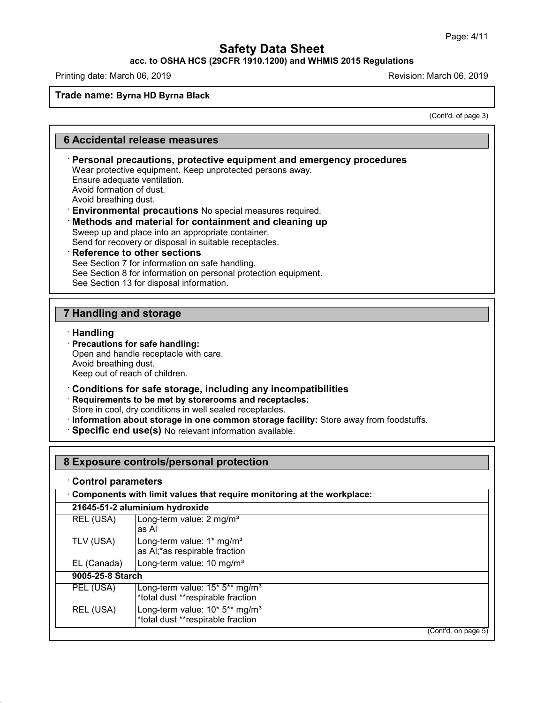# **acc. to OSHA HCS (29CFR 1910.1200) and WHMIS 2015 Regulations**

Printing date: March 06, 2019 **Printing date: March 06, 2019** Revision: March 06, 2019

### **Trade name: Byrna HD Byrna Black**

(Cont'd. of page 3)

## **6 Accidental release measures**

## · **Personal precautions, protective equipment and emergency procedures** Wear protective equipment. Keep unprotected persons away. Ensure adequate ventilation. Avoid formation of dust. Avoid breathing dust. · **Environmental precautions** No special measures required. · **Methods and material for containment and cleaning up** Sweep up and place into an appropriate container. Send for recovery or disposal in suitable receptacles. · **Reference to other sections** See Section 7 for information on safe handling. See Section 8 for information on personal protection equipment. See Section 13 for disposal information.

# **7 Handling and storage**

#### · **Handling**

48.0

# · **Precautions for safe handling:**

Open and handle receptacle with care. Avoid breathing dust. Keep out of reach of children.

#### · **Conditions for safe storage, including any incompatibilities**

· **Requirements to be met by storerooms and receptacles:**

Store in cool, dry conditions in well sealed receptacles.

- · **Information about storage in one common storage facility:** Store away from foodstuffs.
- · **Specific end use(s)** No relevant information available.

| 8 Exposure controls/personal protection |                                                                                 |  |
|-----------------------------------------|---------------------------------------------------------------------------------|--|
| <b>Control parameters</b>               |                                                                                 |  |
|                                         | Components with limit values that require monitoring at the workplace:          |  |
|                                         | 21645-51-2 aluminium hydroxide                                                  |  |
| REL (USA)                               | Long-term value: 2 mg/m <sup>3</sup><br>as Al                                   |  |
| TLV (USA)                               | Long-term value: 1* mg/m <sup>3</sup><br>as AI;*as respirable fraction          |  |
| EL (Canada)                             | Long-term value: 10 mg/m <sup>3</sup>                                           |  |
| 9005-25-8 Starch                        |                                                                                 |  |
| PEL (USA)                               | Long-term value: 15* 5** mg/m <sup>3</sup><br>*total dust **respirable fraction |  |
| REL (USA)                               | Long-term value: 10* 5** mg/m <sup>3</sup><br>*total dust **respirable fraction |  |
|                                         | (Cont'd. on page 5)                                                             |  |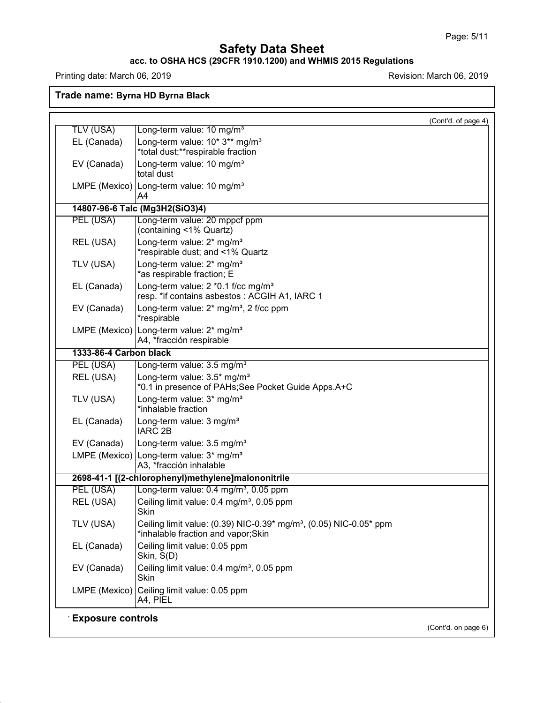## **acc. to OSHA HCS (29CFR 1910.1200) and WHMIS 2015 Regulations**

Printing date: March 06, 2019 **Printing date:** March 06, 2019

48.0

**Trade name: Byrna HD Byrna Black**

|                        | (Cont'd. of page 4)                                                                                                  |
|------------------------|----------------------------------------------------------------------------------------------------------------------|
| <b>TLV (USA)</b>       | Long-term value: 10 mg/m <sup>3</sup>                                                                                |
| EL (Canada)            | Long-term value: 10* 3** mg/m <sup>3</sup><br>*total dust;**respirable fraction                                      |
| EV (Canada)            | Long-term value: 10 mg/m <sup>3</sup><br>total dust                                                                  |
|                        | LMPE (Mexico) Long-term value: 10 mg/m <sup>3</sup><br>A4                                                            |
|                        | 14807-96-6 Talc (Mg3H2(SiO3)4)                                                                                       |
| PEL (USA)              | Long-term value: 20 mppcf ppm<br>(containing <1% Quartz)                                                             |
| REL (USA)              | Long-term value: 2* mg/m <sup>3</sup><br>*respirable dust; and <1% Quartz                                            |
| TLV (USA)              | Long-term value: 2* mg/m <sup>3</sup><br>*as respirable fraction; E                                                  |
| EL (Canada)            | Long-term value: 2 *0.1 f/cc mg/m <sup>3</sup><br>resp. * if contains asbestos: ACGIH A1, IARC 1                     |
| EV (Canada)            | Long-term value: 2* mg/m <sup>3</sup> , 2 f/cc ppm<br>*respirable                                                    |
|                        | LMPE (Mexico) Long-term value: 2* mg/m <sup>3</sup><br>A4, *fracción respirable                                      |
| 1333-86-4 Carbon black |                                                                                                                      |
| PEL (USA)              | Long-term value: 3.5 mg/m <sup>3</sup>                                                                               |
| REL (USA)              | Long-term value: 3.5* mg/m <sup>3</sup><br>*0.1 in presence of PAHs;See Pocket Guide Apps.A+C                        |
| TLV (USA)              | Long-term value: 3* mg/m <sup>3</sup><br>*inhalable fraction                                                         |
| EL (Canada)            | Long-term value: 3 mg/m <sup>3</sup><br><b>IARC 2B</b>                                                               |
| EV (Canada)            | Long-term value: 3.5 mg/m <sup>3</sup>                                                                               |
|                        | LMPE (Mexico) Long-term value: $3*$ mg/m <sup>3</sup><br>A3, *fracción inhalable                                     |
|                        | 2698-41-1 [(2-chlorophenyl)methylene]malononitrile                                                                   |
| PEL (USA)              | Long-term value: 0.4 mg/m <sup>3</sup> , 0.05 ppm                                                                    |
| REL (USA)              | Ceiling limit value: 0.4 mg/m <sup>3</sup> , 0.05 ppm<br>Skin                                                        |
| TLV (USA)              | Ceiling limit value: (0.39) NIC-0.39* mg/m <sup>3</sup> , (0.05) NIC-0.05* ppm<br>*inhalable fraction and vapor;Skin |
| EL (Canada)            | Ceiling limit value: 0.05 ppm<br>Skin, S(D)                                                                          |
| EV (Canada)            | Ceiling limit value: 0.4 mg/m <sup>3</sup> , 0.05 ppm<br>Skin                                                        |
|                        | LMPE (Mexico) Ceiling limit value: 0.05 ppm                                                                          |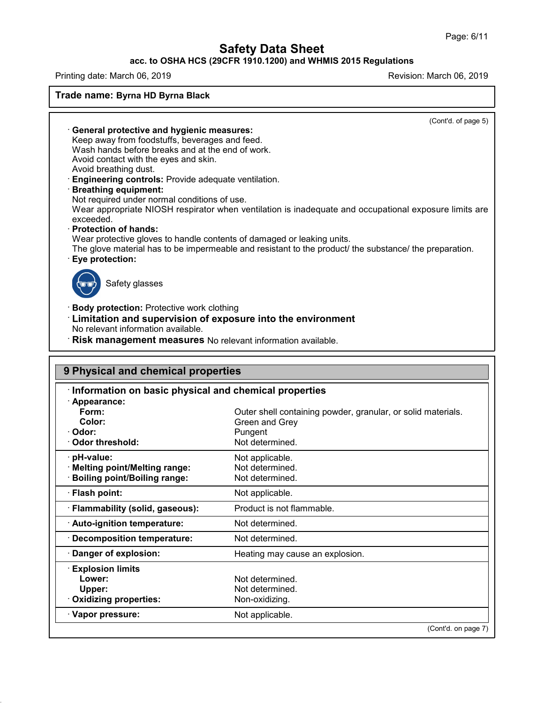## **acc. to OSHA HCS (29CFR 1910.1200) and WHMIS 2015 Regulations**

Printing date: March 06, 2019 **Printing date: March 06, 2019** Revision: March 06, 2019

48.0

**Trade name: Byrna HD Byrna Black** (Cont'd. of page 5) · **General protective and hygienic measures:** Keep away from foodstuffs, beverages and feed. Wash hands before breaks and at the end of work. Avoid contact with the eyes and skin. Avoid breathing dust. · **Engineering controls:** Provide adequate ventilation. · **Breathing equipment:** Not required under normal conditions of use. Wear appropriate NIOSH respirator when ventilation is inadequate and occupational exposure limits are exceeded. · **Protection of hands:** Wear protective gloves to handle contents of damaged or leaking units. The glove material has to be impermeable and resistant to the product/ the substance/ the preparation. · **Eye protection:** Safety glasses · **Body protection:** Protective work clothing · **Limitation and supervision of exposure into the environment** No relevant information available. · **Risk management measures** No relevant information available.

| Information on basic physical and chemical properties |                                                              |
|-------------------------------------------------------|--------------------------------------------------------------|
| Appearance:                                           |                                                              |
| Form:                                                 | Outer shell containing powder, granular, or solid materials. |
| Color:                                                | Green and Grey                                               |
| Odor:                                                 | Pungent                                                      |
| Odor threshold:                                       | Not determined.                                              |
| pH-value:                                             | Not applicable.                                              |
| Melting point/Melting range:                          | Not determined.                                              |
| <b>Boiling point/Boiling range:</b>                   | Not determined.                                              |
| · Flash point:                                        | Not applicable.                                              |
| · Flammability (solid, gaseous):                      | Product is not flammable.                                    |
| Auto-ignition temperature:                            | Not determined.                                              |
| Decomposition temperature:                            | Not determined.                                              |
| Danger of explosion:                                  | Heating may cause an explosion.                              |
| <b>Explosion limits</b>                               |                                                              |
| Lower:                                                | Not determined.                                              |
| Upper:                                                | Not determined.                                              |
| Oxidizing properties:                                 | Non-oxidizing.                                               |
| · Vapor pressure:                                     | Not applicable.                                              |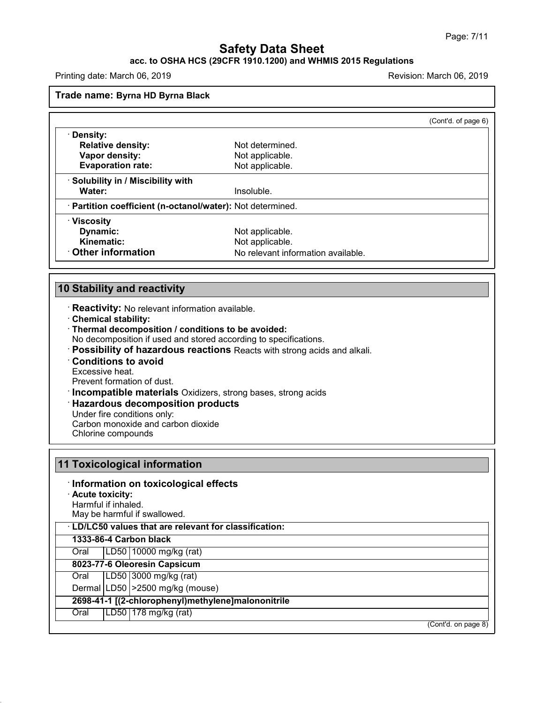# **acc. to OSHA HCS (29CFR 1910.1200) and WHMIS 2015 Regulations**

Printing date: March 06, 2019 **Printing date:** March 06, 2019

**Trade name: Byrna HD Byrna Black**

|                                                            |                                    | (Cont'd. of page 6) |
|------------------------------------------------------------|------------------------------------|---------------------|
| · Density:                                                 |                                    |                     |
| <b>Relative density:</b>                                   | Not determined.                    |                     |
| Vapor density:                                             | Not applicable.                    |                     |
| <b>Evaporation rate:</b>                                   | Not applicable.                    |                     |
| · Solubility in / Miscibility with                         |                                    |                     |
| Water:                                                     | Insoluble.                         |                     |
| · Partition coefficient (n-octanol/water): Not determined. |                                    |                     |
| $\cdot$ Viscosity                                          |                                    |                     |
| Dynamic:                                                   | Not applicable.                    |                     |
| Kinematic:                                                 | Not applicable.                    |                     |
| Other information                                          | No relevant information available. |                     |

# **10 Stability and reactivity**

· **Reactivity:** No relevant information available.

- · **Chemical stability:**
- · **Thermal decomposition / conditions to be avoided:**

No decomposition if used and stored according to specifications.

· **Possibility of hazardous reactions** Reacts with strong acids and alkali.

· **Conditions to avoid**

Excessive heat.

48.0

Prevent formation of dust.

· **Incompatible materials** Oxidizers, strong bases, strong acids

## · **Hazardous decomposition products**

Under fire conditions only:

Carbon monoxide and carbon dioxide

Chlorine compounds

|                     | 11 Toxicological information                                |
|---------------------|-------------------------------------------------------------|
|                     | : Information on toxicological effects                      |
| · Acute toxicity:   |                                                             |
| Harmful if inhaled. |                                                             |
|                     | May be harmful if swallowed.                                |
|                     | <b>LD/LC50 values that are relevant for classification:</b> |
|                     | 1333-86-4 Carbon black                                      |
| Oral                | $ LD50 $ 10000 mg/kg (rat)                                  |
|                     | 8023-77-6 Oleoresin Capsicum                                |
| Oral                | LD50 3000 mg/kg (rat)                                       |
|                     | Dermal LD50   > 2500 mg/kg (mouse)                          |
|                     | 2698-41-1 [(2-chlorophenyl)methylene]malononitrile          |
| Oral                | LD50   178 mg/kg (rat)                                      |
|                     | (Cont'd. on page 8)                                         |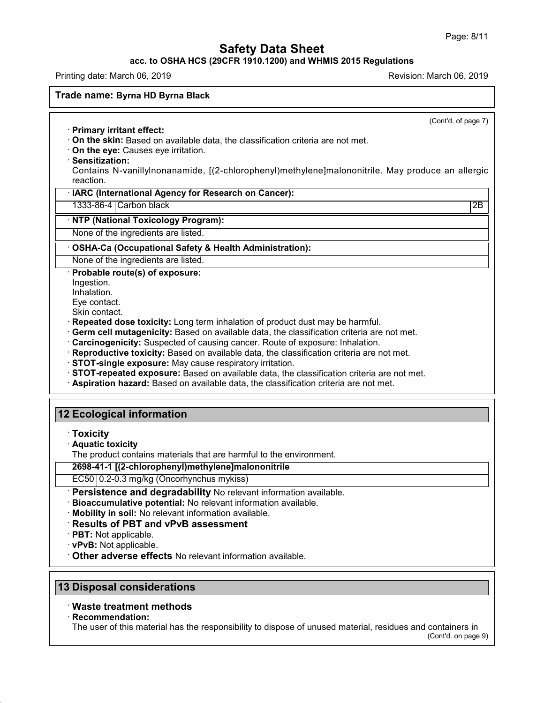## **acc. to OSHA HCS (29CFR 1910.1200) and WHMIS 2015 Regulations**

Printing date: March 06, 2019 **Printing date: March 06, 2019** Revision: March 06, 2019

#### **Trade name: Byrna HD Byrna Black**

(Cont'd. of page 7)

- · **Primary irritant effect:**
- · **On the skin:** Based on available data, the classification criteria are not met.
- · **On the eye:** Causes eye irritation.
- · **Sensitization:**

Contains N-vanillylnonanamide, [(2-chlorophenyl)methylene]malononitrile. May produce an allergic reaction.

## · **IARC (International Agency for Research on Cancer):**

1333-86-4 Carbon black 2B

## · **NTP (National Toxicology Program):**

None of the ingredients are listed.

## · **OSHA-Ca (Occupational Safety & Health Administration):**

None of the ingredients are listed.

## · **Probable route(s) of exposure:**

Ingestion.

Inhalation.

Eye contact.

Skin contact.

- · **Repeated dose toxicity:** Long term inhalation of product dust may be harmful.
- · **Germ cell mutagenicity:** Based on available data, the classification criteria are not met.
- · **Carcinogenicity:** Suspected of causing cancer. Route of exposure: Inhalation.
- · **Reproductive toxicity:** Based on available data, the classification criteria are not met.
- · **STOT-single exposure:** May cause respiratory irritation.
- · **STOT-repeated exposure:** Based on available data, the classification criteria are not met.
- · **Aspiration hazard:** Based on available data, the classification criteria are not met.

## **12 Ecological information**

- · **Toxicity**
- · **Aquatic toxicity**

The product contains materials that are harmful to the environment.

**2698-41-1 [(2-chlorophenyl)methylene]malononitrile**

EC50 0.2-0.3 mg/kg (Oncorhynchus mykiss)

· **Persistence and degradability** No relevant information available.

· **Bioaccumulative potential:** No relevant information available.

· **Mobility in soil:** No relevant information available.

## · **Results of PBT and vPvB assessment**

· **PBT:** Not applicable.

· **vPvB:** Not applicable.

· **Other adverse effects** No relevant information available.

# **13 Disposal considerations**

## · **Waste treatment methods**

#### · **Recommendation:**

48.0

The user of this material has the responsibility to dispose of unused material, residues and containers in

(Cont'd. on page 9)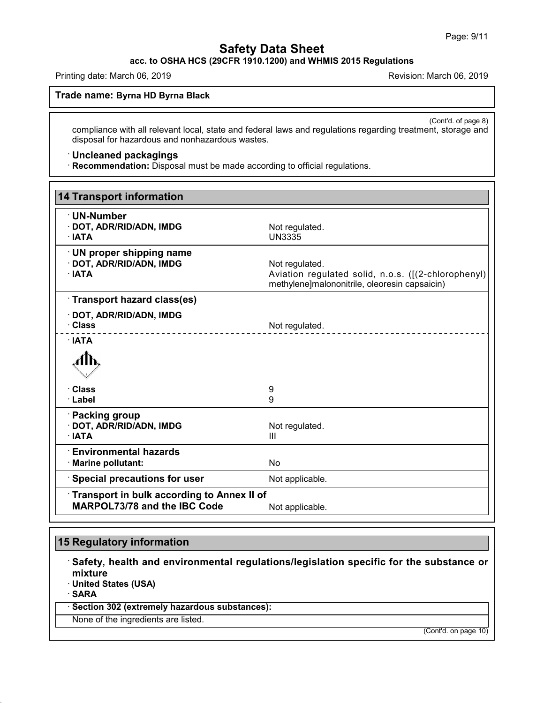**acc. to OSHA HCS (29CFR 1910.1200) and WHMIS 2015 Regulations**

Printing date: March 06, 2019 **Printing date: March 06, 2019** Revision: March 06, 2019

**Trade name: Byrna HD Byrna Black**

(Cont'd. of page 8) compliance with all relevant local, state and federal laws and regulations regarding treatment, storage and disposal for hazardous and nonhazardous wastes.

## · **Uncleaned packagings**

· **Recommendation:** Disposal must be made according to official regulations.

| <b>14 Transport information</b>                                                   |                                                                                                                        |
|-----------------------------------------------------------------------------------|------------------------------------------------------------------------------------------------------------------------|
| · UN-Number<br>· DOT, ADR/RID/ADN, IMDG<br>$\cdot$ IATA                           | Not regulated.<br><b>UN3335</b>                                                                                        |
| $\cdot$ UN proper shipping name<br>· DOT, ADR/RID/ADN, IMDG<br>· IATA             | Not regulated.<br>Aviation regulated solid, n.o.s. ([(2-chlorophenyl)<br>methylene]malononitrile, oleoresin capsaicin) |
| Transport hazard class(es)                                                        |                                                                                                                        |
| · DOT, ADR/RID/ADN, IMDG<br>· Class                                               | Not regulated.                                                                                                         |
| $\cdot$ IATA                                                                      |                                                                                                                        |
|                                                                                   |                                                                                                                        |
| · Class                                                                           | 9                                                                                                                      |
| · Label                                                                           | 9                                                                                                                      |
| · Packing group<br>· DOT, ADR/RID/ADN, IMDG<br>$\cdot$ IATA                       | Not regulated.<br>Ш                                                                                                    |
| $\cdot$ Environmental hazards<br>· Marine pollutant:                              | No                                                                                                                     |
| <b>Special precautions for user</b>                                               | Not applicable.                                                                                                        |
| Transport in bulk according to Annex II of<br><b>MARPOL73/78 and the IBC Code</b> | Not applicable.                                                                                                        |

## **15 Regulatory information**

48.0

· **Safety, health and environmental regulations/legislation specific for the substance or mixture** · **United States (USA)** · **SARA** · **Section 302 (extremely hazardous substances):** None of the ingredients are listed.

(Cont'd. on page 10)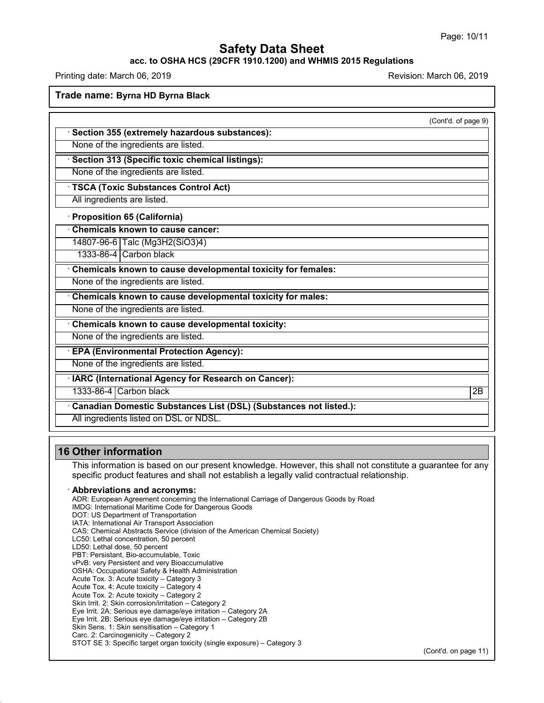#### **acc. to OSHA HCS (29CFR 1910.1200) and WHMIS 2015 Regulations**

Printing date: March 06, 2019 **Printing date: March 06, 2019** Revision: March 06, 2019

**Trade name: Byrna HD Byrna Black**

(Cont'd. of page 9)

· **Section 355 (extremely hazardous substances):**

None of the ingredients are listed.

None of the ingredients are listed.

· **Section 313 (Specific toxic chemical listings):**

· **TSCA (Toxic Substances Control Act)**

All ingredients are listed.

· **Proposition 65 (California)**

· **Chemicals known to cause cancer:**

14807-96-6 Talc (Mg3H2(SiO3)4)

1333-86-4 Carbon black

· **Chemicals known to cause developmental toxicity for females:**

None of the ingredients are listed.

· **Chemicals known to cause developmental toxicity for males:**

None of the ingredients are listed.

· **Chemicals known to cause developmental toxicity:**

None of the ingredients are listed.

· **EPA (Environmental Protection Agency):**

None of the ingredients are listed.

· **IARC (International Agency for Research on Cancer):**

1333-86-4 Carbon black 2B

· **Canadian Domestic Substances List (DSL) (Substances not listed.):**

All ingredients listed on DSL or NDSL.

## **16 Other information**

48.0

This information is based on our present knowledge. However, this shall not constitute a guarantee for any specific product features and shall not establish a legally valid contractual relationship.

#### · **Abbreviations and acronyms:**

ADR: European Agreement concerning the International Carriage of Dangerous Goods by Road IMDG: International Maritime Code for Dangerous Goods DOT: US Department of Transportation IATA: International Air Transport Association CAS: Chemical Abstracts Service (division of the American Chemical Society) LC50: Lethal concentration, 50 percent LD50: Lethal dose, 50 percent PBT: Persistant, Bio-accumulable, Toxic vPvB: very Persistent and very Bioaccumulative OSHA: Occupational Safety & Health Administration Acute Tox. 3: Acute toxicity – Category 3 Acute Tox. 4: Acute toxicity – Category 4 Acute Tox. 2: Acute toxicity – Category 2 Skin Irrit. 2: Skin corrosion/irritation – Category 2 Eye Irrit.2A: Serious eye damage/eye irritation – Category 2A Eye Irrit.2B: Serious eye damage/eye irritation – Category 2B Skin Sens. 1: Skin sensitisation – Category 1 Carc. 2: Carcinogenicity – Category 2 STOT SE 3: Specific target organ toxicity (single exposure) – Category 3